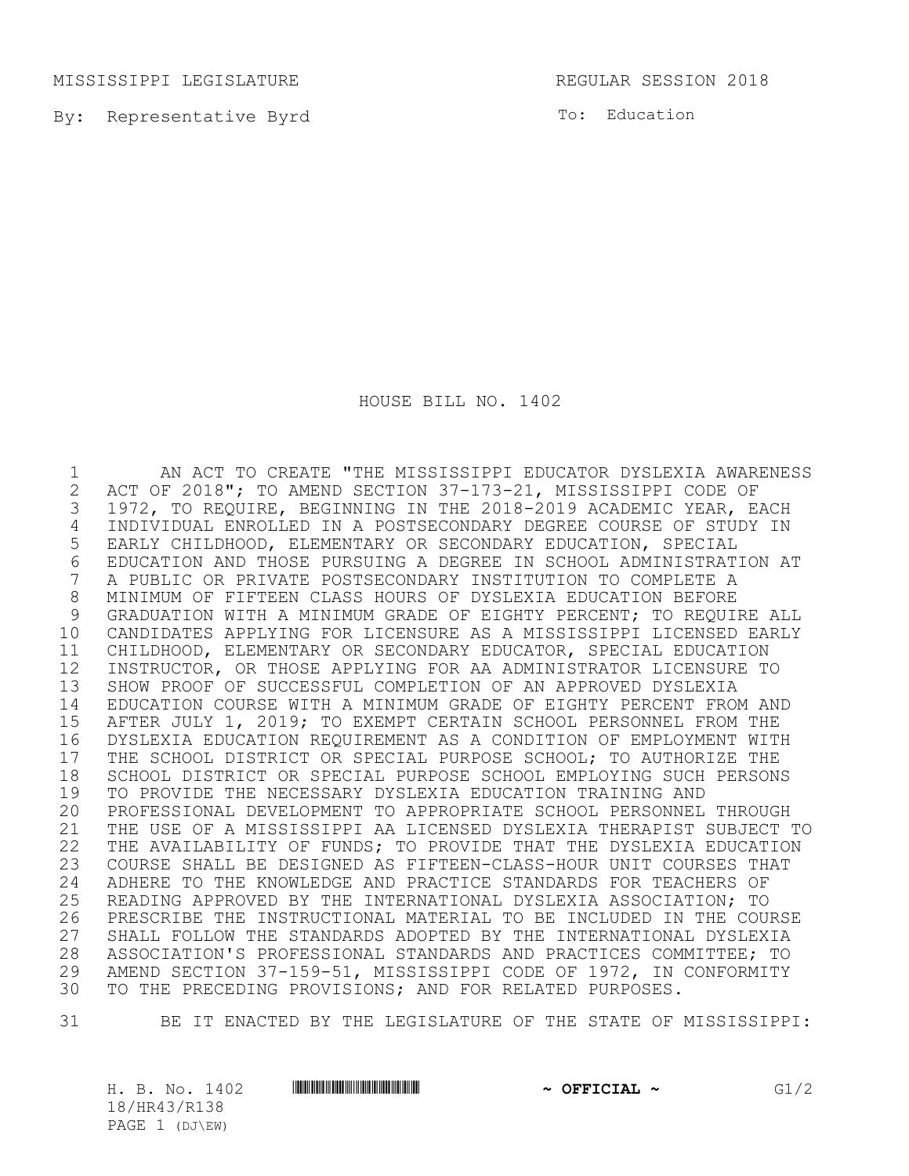MISSISSIPPI LEGISLATURE **REGULAR SESSION 2018** 

By: Representative Byrd

To: Education

HOUSE BILL NO. 1402

1 AN ACT TO CREATE "THE MISSISSIPPI EDUCATOR DYSLEXIA AWARENESS<br>2 ACT OF 2018": TO AMEND SECTION 37-173-21, MISSISSIPPI CODE OF 2 ACT OF 2018"; TO AMEND SECTION 37-173-21, MISSISSIPPI CODE OF<br>3 1972, TO REQUIRE, BEGINNING IN THE 2018-2019 ACADEMIC YEAR, E. 1972, TO REQUIRE, BEGINNING IN THE 2018-2019 ACADEMIC YEAR, EACH INDIVIDUAL ENROLLED IN A POSTSECONDARY DEGREE COURSE OF STUDY IN EARLY CHILDHOOD, ELEMENTARY OR SECONDARY EDUCATION, SPECIAL 6 EDUCATION AND THOSE PURSUING A DEGREE IN SCHOOL ADMINISTRATION AT<br>7 A PUBLIC OR PRIVATE POSTSECONDARY INSTITUTION TO COMPLETE A A PUBLIC OR PRIVATE POSTSECONDARY INSTITUTION TO COMPLETE A MINIMUM OF FIFTEEN CLASS HOURS OF DYSLEXIA EDUCATION BEFORE 9 GRADUATION WITH A MINIMUM GRADE OF EIGHTY PERCENT: TO REOUIRE ALL CANDIDATES APPLYING FOR LICENSURE AS A MISSISSIPPI LICENSED EARLY CHILDHOOD, ELEMENTARY OR SECONDARY EDUCATOR, SPECIAL EDUCATION INSTRUCTOR, OR THOSE APPLYING FOR AA ADMINISTRATOR LICENSURE TO SHOW PROOF OF SUCCESSFUL COMPLETION OF AN APPROVED DYSLEXIA EDUCATION COURSE WITH A MINIMUM GRADE OF EIGHTY PERCENT FROM AND AFTER JULY 1, 2019; TO EXEMPT CERTAIN SCHOOL PERSONNEL FROM THE DYSLEXIA EDUCATION REQUIREMENT AS A CONDITION OF EMPLOYMENT WITH 17 THE SCHOOL DISTRICT OR SPECIAL PURPOSE SCHOOL; TO AUTHORIZE THE<br>18 SCHOOL DISTRICT OR SPECIAL PURPOSE SCHOOL EMPLOYING SUCH PERSON 18 SCHOOL DISTRICT OR SPECIAL PURPOSE SCHOOL EMPLOYING SUCH PERSONS<br>19 TO PROVIDE THE NECESSARY DYSLEXIA EDUCATION TRAINING AND TO PROVIDE THE NECESSARY DYSLEXIA EDUCATION TRAINING AND PROFESSIONAL DEVELOPMENT TO APPROPRIATE SCHOOL PERSONNEL THROUGH THE USE OF A MISSISSIPPI AA LICENSED DYSLEXIA THERAPIST SUBJECT TO THE AVAILABILITY OF FUNDS; TO PROVIDE THAT THE DYSLEXIA EDUCATION COURSE SHALL BE DESIGNED AS FIFTEEN-CLASS-HOUR UNIT COURSES THAT 24 ADHERE TO THE KNOWLEDGE AND PRACTICE STANDARDS FOR TEACHERS OF<br>25 READING APPROVED BY THE INTERNATIONAL DYSLEXIA ASSOCIATION; TO READING APPROVED BY THE INTERNATIONAL DYSLEXIA ASSOCIATION; TO PRESCRIBE THE INSTRUCTIONAL MATERIAL TO BE INCLUDED IN THE COURSE SHALL FOLLOW THE STANDARDS ADOPTED BY THE INTERNATIONAL DYSLEXIA 28 ASSOCIATION'S PROFESSIONAL STANDARDS AND PRACTICES COMMITTEE; TO<br>29 AMEND SECTION 37-159-51, MISSISSIPPI CODE OF 1972, IN CONFORMITY AMEND SECTION 37-159-51, MISSISSIPPI CODE OF 1972, IN CONFORMITY TO THE PRECEDING PROVISIONS; AND FOR RELATED PURPOSES.

31 BE IT ENACTED BY THE LEGISLATURE OF THE STATE OF MISSISSIPPI:

H. B. No. 1402 \*HR43/R138\* **~ OFFICIAL ~** G1/2 18/HR43/R138 PAGE 1 (DJ\EW)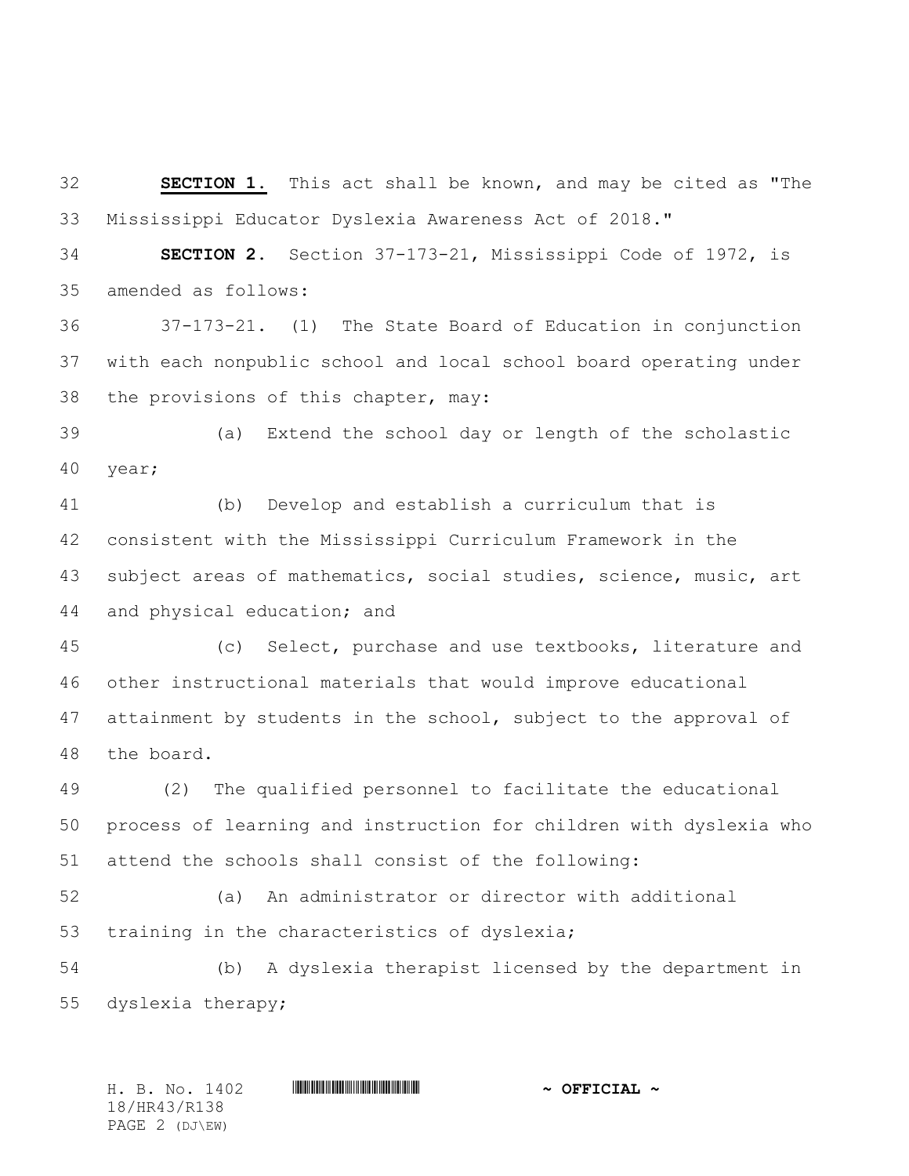**SECTION 1.** This act shall be known, and may be cited as "The Mississippi Educator Dyslexia Awareness Act of 2018."

 **SECTION 2.** Section 37-173-21, Mississippi Code of 1972, is amended as follows:

 37-173-21**.** (1) The State Board of Education in conjunction with each nonpublic school and local school board operating under the provisions of this chapter, may:

 (a) Extend the school day or length of the scholastic year;

 (b) Develop and establish a curriculum that is consistent with the Mississippi Curriculum Framework in the subject areas of mathematics, social studies, science, music, art and physical education; and

 (c) Select, purchase and use textbooks, literature and other instructional materials that would improve educational attainment by students in the school, subject to the approval of the board.

 (2) The qualified personnel to facilitate the educational process of learning and instruction for children with dyslexia who attend the schools shall consist of the following:

 (a) An administrator or director with additional training in the characteristics of dyslexia;

 (b) A dyslexia therapist licensed by the department in dyslexia therapy;

H. B. No. 1402 \*HR43/R138\* **~ OFFICIAL ~** 18/HR43/R138 PAGE 2 (DJ\EW)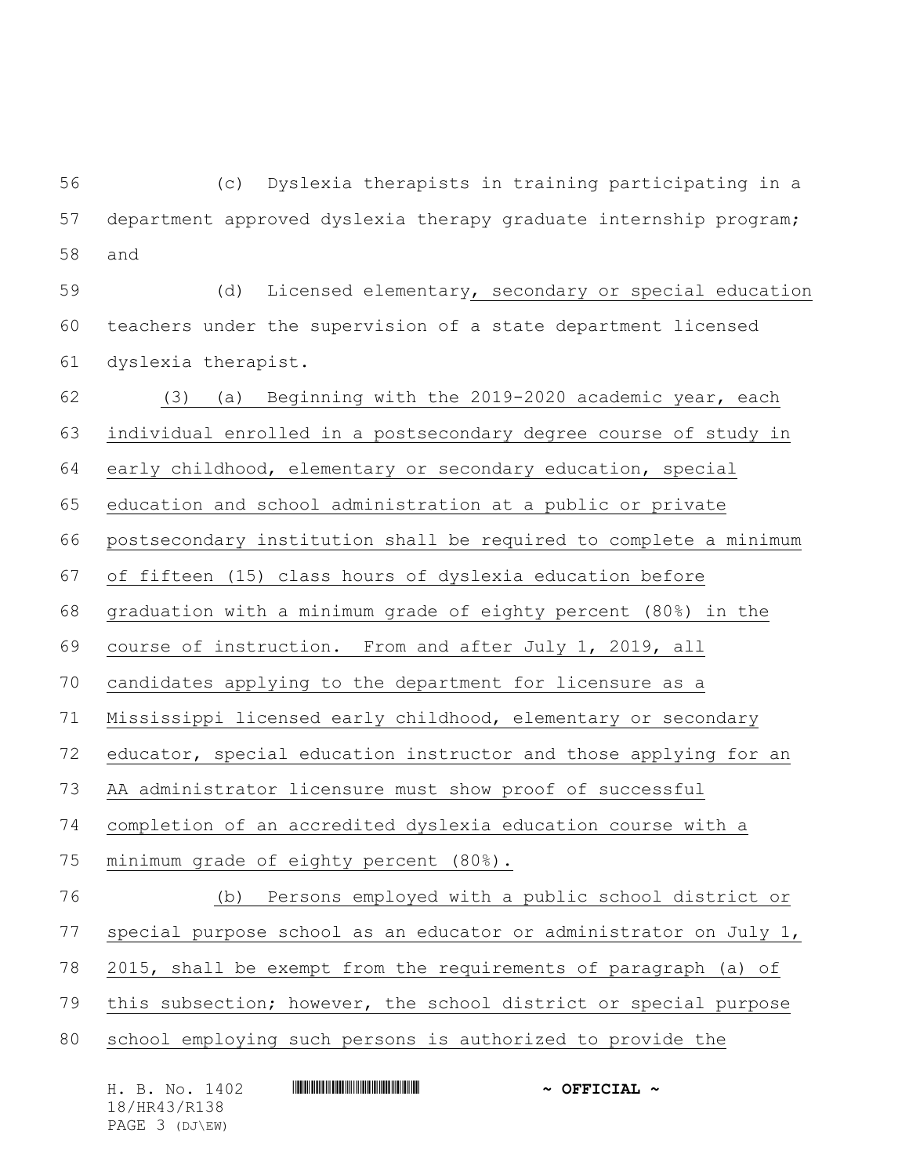(c) Dyslexia therapists in training participating in a department approved dyslexia therapy graduate internship program; and

 (d) Licensed elementary, secondary or special education teachers under the supervision of a state department licensed dyslexia therapist.

 (3) (a) Beginning with the 2019-2020 academic year, each individual enrolled in a postsecondary degree course of study in early childhood, elementary or secondary education, special education and school administration at a public or private postsecondary institution shall be required to complete a minimum of fifteen (15) class hours of dyslexia education before graduation with a minimum grade of eighty percent (80%) in the course of instruction. From and after July 1, 2019, all candidates applying to the department for licensure as a Mississippi licensed early childhood, elementary or secondary educator, special education instructor and those applying for an AA administrator licensure must show proof of successful completion of an accredited dyslexia education course with a minimum grade of eighty percent (80%). (b) Persons employed with a public school district or special purpose school as an educator or administrator on July 1, 2015, shall be exempt from the requirements of paragraph (a) of this subsection; however, the school district or special purpose school employing such persons is authorized to provide the

| H. B. No. 1402 | $\sim$ OFFICIAL $\sim$ |
|----------------|------------------------|
| 18/HR43/R138   |                        |
| PAGE 3 (DJ\EW) |                        |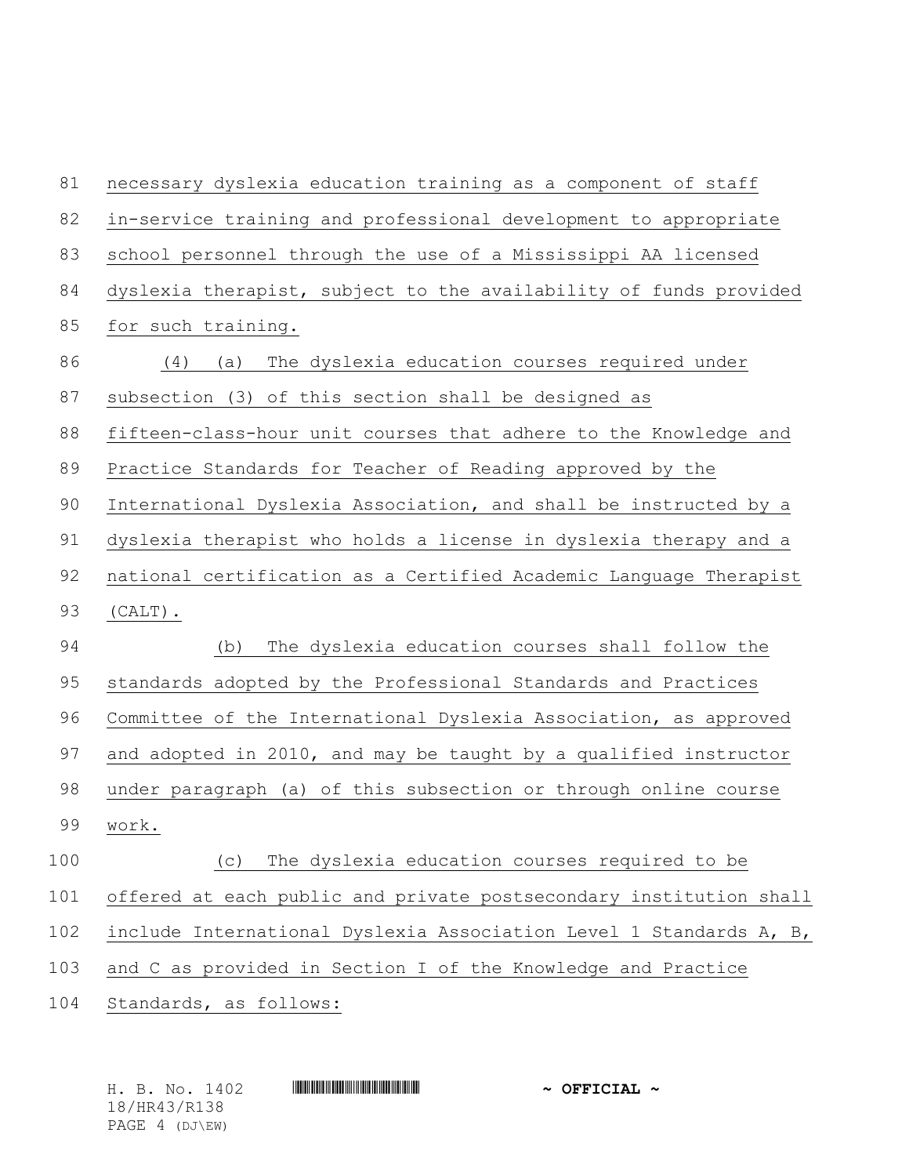| 81  | necessary dyslexia education training as a component of staff      |
|-----|--------------------------------------------------------------------|
| 82  | in-service training and professional development to appropriate    |
| 83  | school personnel through the use of a Mississippi AA licensed      |
| 84  | dyslexia therapist, subject to the availability of funds provided  |
| 85  | for such training.                                                 |
| 86  | (4)<br>The dyslexia education courses required under<br>(a)        |
| 87  | subsection (3) of this section shall be designed as                |
| 88  | fifteen-class-hour unit courses that adhere to the Knowledge and   |
| 89  | Practice Standards for Teacher of Reading approved by the          |
| 90  | International Dyslexia Association, and shall be instructed by a   |
| 91  | dyslexia therapist who holds a license in dyslexia therapy and a   |
| 92  | national certification as a Certified Academic Language Therapist  |
| 93  | $(CALT)$ .                                                         |
| 94  | (b)<br>The dyslexia education courses shall follow the             |
| 95  | standards adopted by the Professional Standards and Practices      |
| 96  | Committee of the International Dyslexia Association, as approved   |
| 97  | and adopted in 2010, and may be taught by a qualified instructor   |
| 98  | under paragraph (a) of this subsection or through online course    |
| 99  | work.                                                              |
| 100 | The dyslexia education courses required to be<br>(C)               |
| 101 | offered at each public and private postsecondary institution shall |
| 102 | include International Dyslexia Association Level 1 Standards A, B, |
| 103 | and C as provided in Section I of the Knowledge and Practice       |
| 104 | Standards, as follows:                                             |
|     |                                                                    |

H. B. No. 1402 **HR441 HR43 #HR43 ~ OFFICIAL ~** 18/HR43/R138 PAGE 4 (DJ\EW)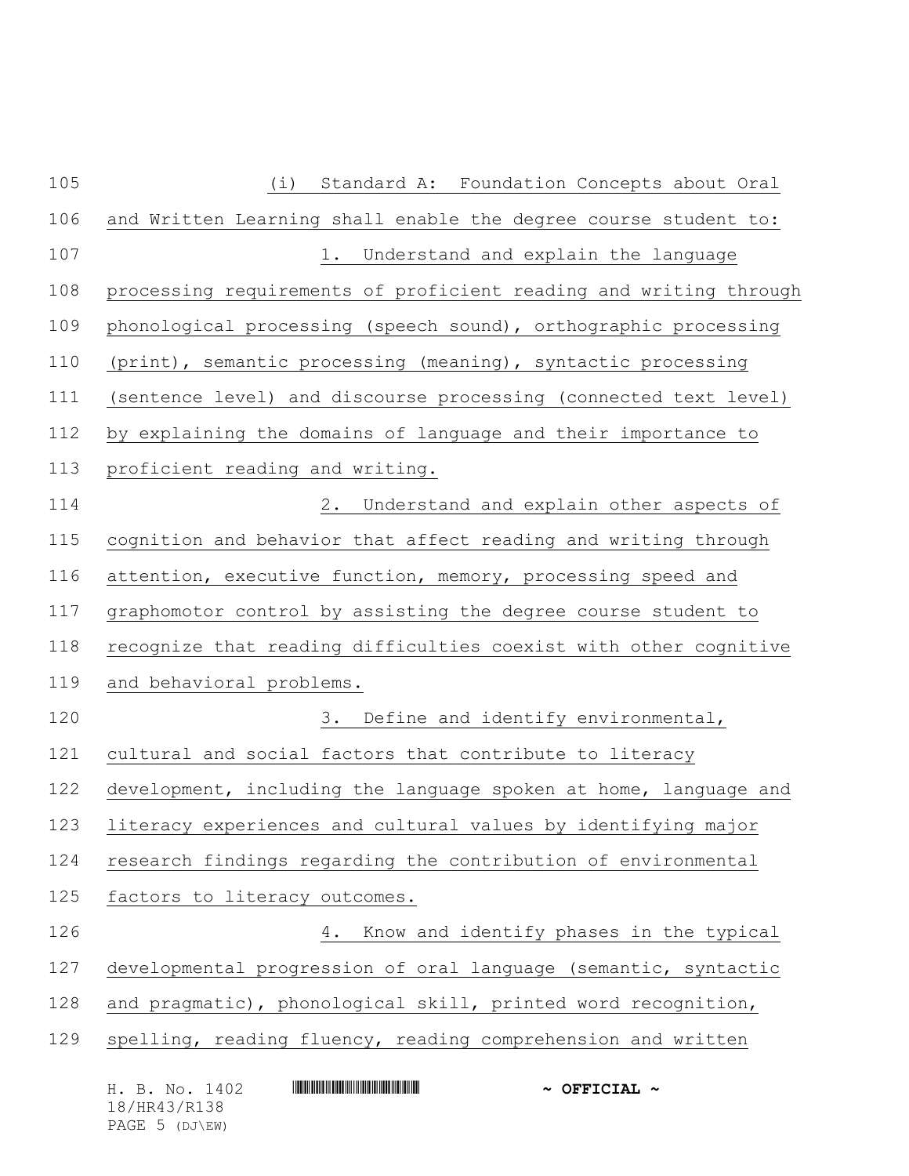| 105 | Standard A: Foundation Concepts about Oral<br>(i)                 |  |  |
|-----|-------------------------------------------------------------------|--|--|
| 106 | and Written Learning shall enable the degree course student to:   |  |  |
| 107 | 1. Understand and explain the language                            |  |  |
| 108 | processing requirements of proficient reading and writing through |  |  |
| 109 | phonological processing (speech sound), orthographic processing   |  |  |
| 110 | (print), semantic processing (meaning), syntactic processing      |  |  |
| 111 | (sentence level) and discourse processing (connected text level)  |  |  |
| 112 | by explaining the domains of language and their importance to     |  |  |
| 113 | proficient reading and writing.                                   |  |  |
| 114 | 2. Understand and explain other aspects of                        |  |  |
| 115 | cognition and behavior that affect reading and writing through    |  |  |
| 116 | attention, executive function, memory, processing speed and       |  |  |
| 117 | graphomotor control by assisting the degree course student to     |  |  |
| 118 | recognize that reading difficulties coexist with other cognitive  |  |  |
| 119 | and behavioral problems.                                          |  |  |
| 120 | 3. Define and identify environmental,                             |  |  |
| 121 | cultural and social factors that contribute to literacy           |  |  |
| 122 | development, including the language spoken at home, language and  |  |  |
| 123 | literacy experiences and cultural values by identifying major     |  |  |
| 124 | research findings regarding the contribution of environmental     |  |  |
| 125 | factors to literacy outcomes.                                     |  |  |
| 126 | Know and identify phases in the typical<br>4.                     |  |  |
| 127 | developmental progression of oral language (semantic, syntactic   |  |  |
| 128 | and pragmatic), phonological skill, printed word recognition,     |  |  |
| 129 | spelling, reading fluency, reading comprehension and written      |  |  |
|     | H. B. No. 1402<br>$\sim$ OFFICIAL $\sim$                          |  |  |

18/HR43/R138 PAGE 5 (DJ\EW)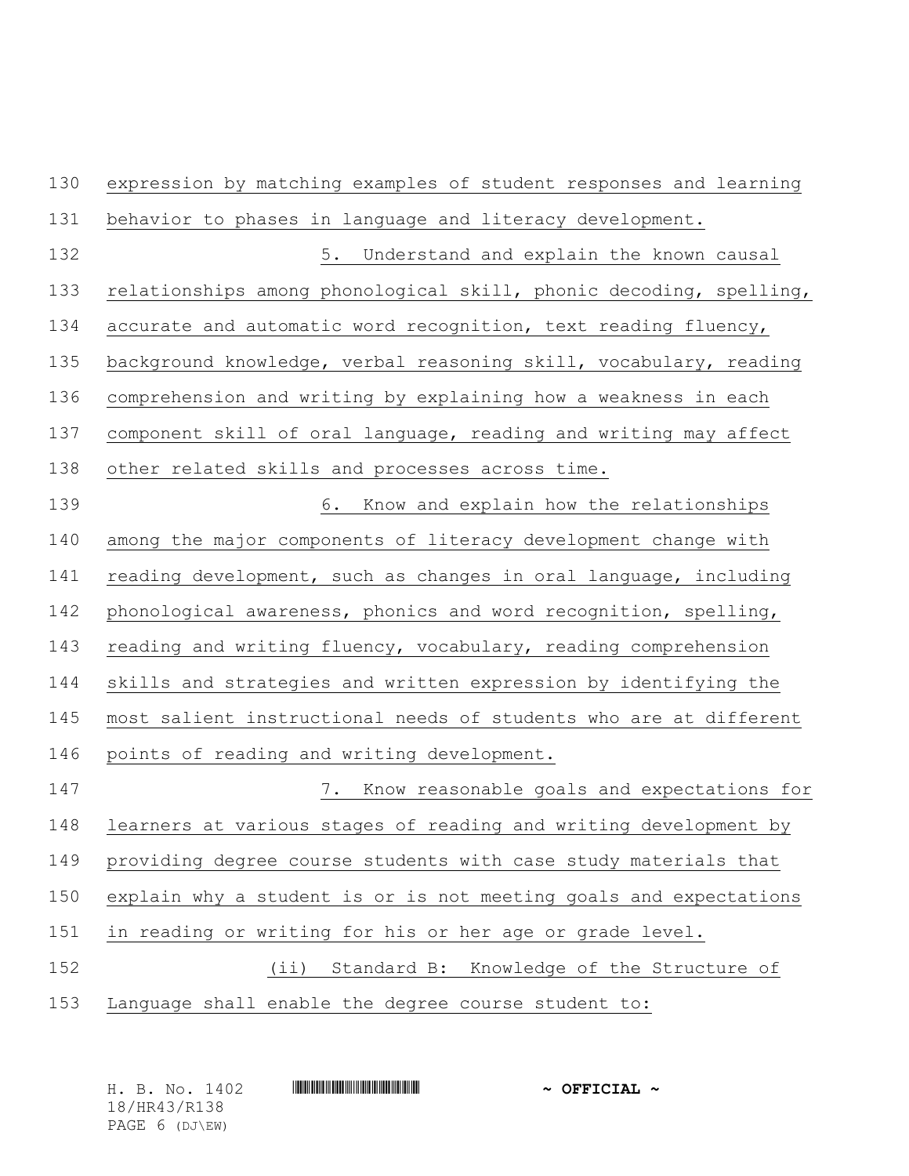| expression by matching examples of student responses and learning  |  |  |  |
|--------------------------------------------------------------------|--|--|--|
| behavior to phases in language and literacy development.           |  |  |  |
| 5. Understand and explain the known causal                         |  |  |  |
| relationships among phonological skill, phonic decoding, spelling, |  |  |  |
| accurate and automatic word recognition, text reading fluency,     |  |  |  |
| background knowledge, verbal reasoning skill, vocabulary, reading  |  |  |  |
| comprehension and writing by explaining how a weakness in each     |  |  |  |
| component skill of oral language, reading and writing may affect   |  |  |  |
| other related skills and processes across time.                    |  |  |  |
| 6. Know and explain how the relationships                          |  |  |  |
| among the major components of literacy development change with     |  |  |  |
| reading development, such as changes in oral language, including   |  |  |  |
| phonological awareness, phonics and word recognition, spelling,    |  |  |  |
| reading and writing fluency, vocabulary, reading comprehension     |  |  |  |
| skills and strategies and written expression by identifying the    |  |  |  |
| most salient instructional needs of students who are at different  |  |  |  |
| points of reading and writing development.                         |  |  |  |
| 7. Know reasonable goals and expectations for                      |  |  |  |
| learners at various stages of reading and writing development by   |  |  |  |
| providing degree course students with case study materials that    |  |  |  |
| explain why a student is or is not meeting goals and expectations  |  |  |  |
| in reading or writing for his or her age or grade level.           |  |  |  |
| Standard B:<br>Knowledge of the Structure of<br>$(i$ i)            |  |  |  |
| Language shall enable the degree course student to:                |  |  |  |
|                                                                    |  |  |  |

|  | H. B. No. 1402 |  | $\sim$ OFFICIAL $\sim$ |
|--|----------------|--|------------------------|
|  | 18/HR43/R138   |  |                        |
|  | PAGE 6 (DJ\EW) |  |                        |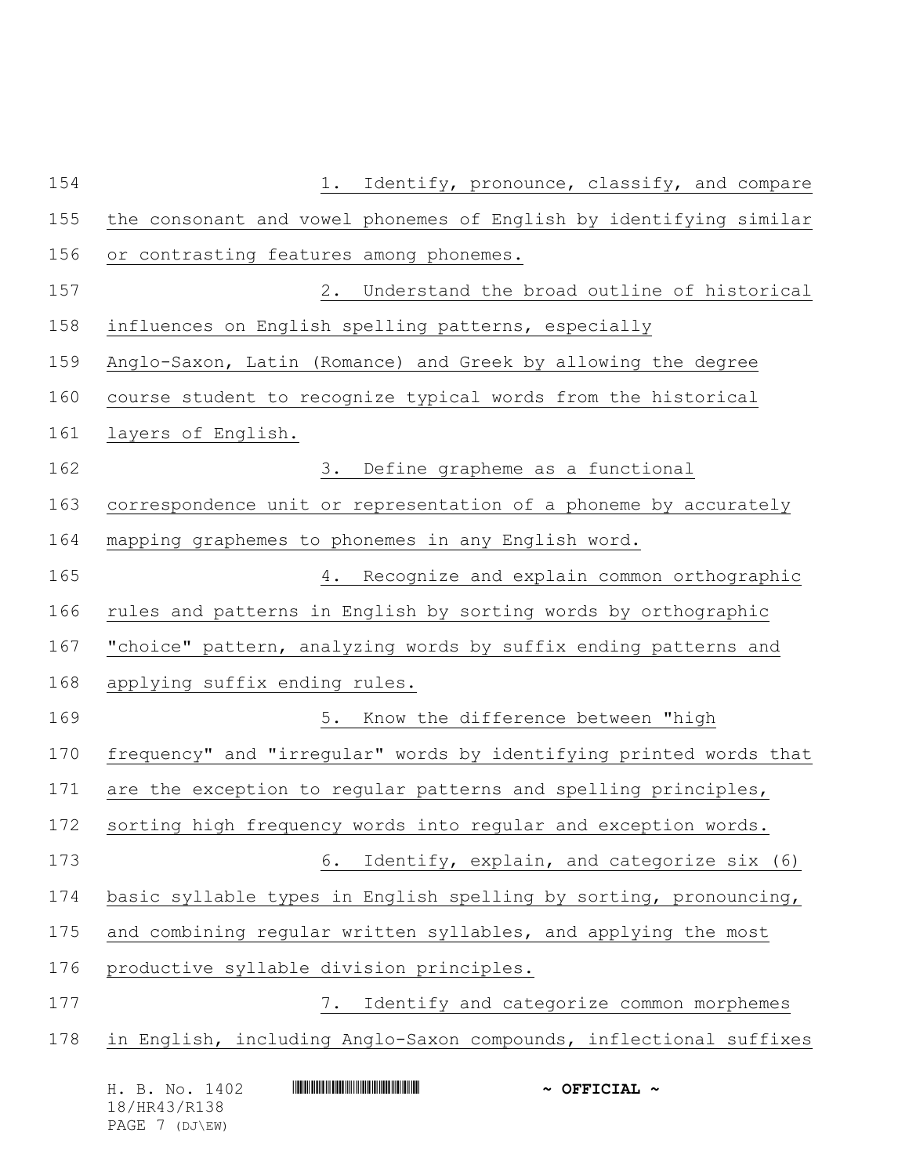| 154 | Identify, pronounce, classify, and compare<br>1.                                                                               |  |  |
|-----|--------------------------------------------------------------------------------------------------------------------------------|--|--|
| 155 | the consonant and vowel phonemes of English by identifying similar                                                             |  |  |
| 156 | or contrasting features among phonemes.                                                                                        |  |  |
| 157 | 2. Understand the broad outline of historical                                                                                  |  |  |
| 158 | influences on English spelling patterns, especially                                                                            |  |  |
| 159 | Anglo-Saxon, Latin (Romance) and Greek by allowing the degree                                                                  |  |  |
| 160 | course student to recognize typical words from the historical                                                                  |  |  |
| 161 | layers of English.                                                                                                             |  |  |
| 162 | 3. Define grapheme as a functional                                                                                             |  |  |
| 163 | correspondence unit or representation of a phoneme by accurately                                                               |  |  |
| 164 | mapping graphemes to phonemes in any English word.                                                                             |  |  |
| 165 | 4. Recognize and explain common orthographic                                                                                   |  |  |
| 166 | rules and patterns in English by sorting words by orthographic                                                                 |  |  |
| 167 | "choice" pattern, analyzing words by suffix ending patterns and                                                                |  |  |
| 168 | applying suffix ending rules.                                                                                                  |  |  |
| 169 | 5. Know the difference between "high                                                                                           |  |  |
| 170 | frequency" and "irregular" words by identifying printed words that                                                             |  |  |
| 171 | are the exception to regular patterns and spelling principles,                                                                 |  |  |
| 172 | sorting high frequency words into regular and exception words.                                                                 |  |  |
| 173 | Identify, explain, and categorize six (6)<br>6.                                                                                |  |  |
| 174 | basic syllable types in English spelling by sorting, pronouncing,                                                              |  |  |
| 175 | and combining regular written syllables, and applying the most                                                                 |  |  |
| 176 | productive syllable division principles.                                                                                       |  |  |
| 177 | Identify and categorize common morphemes<br>7.                                                                                 |  |  |
| 178 | in English, including Anglo-Saxon compounds, inflectional suffixes                                                             |  |  |
|     | <u> HERE I HAN IN HERE I HAN IN HERE I HAN IN HERE I HAN IN HE</u><br>H. B. No. 1402<br>$\sim$ OFFICIAL $\sim$<br>18/HR43/R138 |  |  |

PAGE 7 (DJ\EW)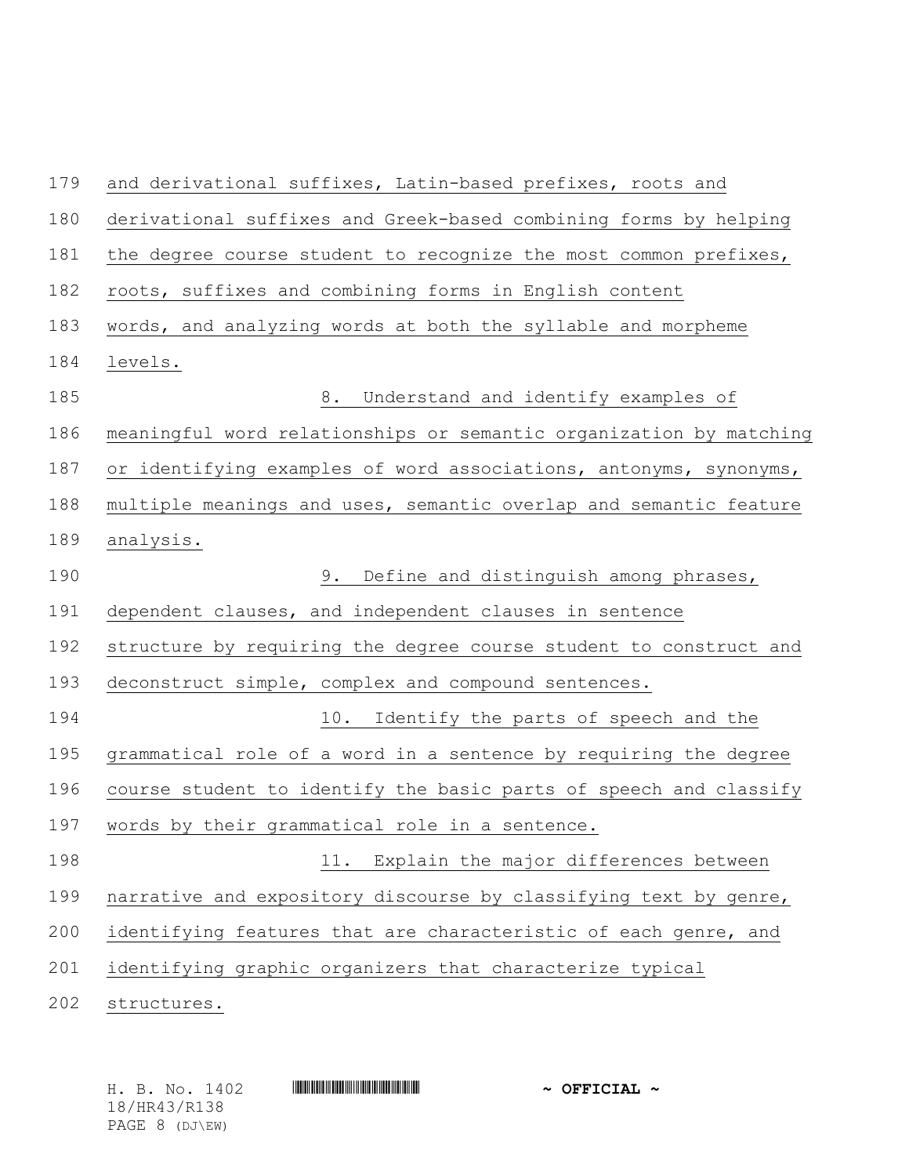| 179 | and derivational suffixes, Latin-based prefixes, roots and         |  |  |
|-----|--------------------------------------------------------------------|--|--|
| 180 | derivational suffixes and Greek-based combining forms by helping   |  |  |
| 181 | the degree course student to recognize the most common prefixes,   |  |  |
| 182 | roots, suffixes and combining forms in English content             |  |  |
| 183 | words, and analyzing words at both the syllable and morpheme       |  |  |
| 184 | levels.                                                            |  |  |
| 185 | 8. Understand and identify examples of                             |  |  |
| 186 | meaningful word relationships or semantic organization by matching |  |  |
| 187 | or identifying examples of word associations, antonyms, synonyms,  |  |  |
| 188 | multiple meanings and uses, semantic overlap and semantic feature  |  |  |
| 189 | analysis.                                                          |  |  |
| 190 | 9. Define and distinguish among phrases,                           |  |  |
| 191 | dependent clauses, and independent clauses in sentence             |  |  |
| 192 | structure by requiring the degree course student to construct and  |  |  |
| 193 | deconstruct simple, complex and compound sentences.                |  |  |
| 194 | 10. Identify the parts of speech and the                           |  |  |
| 195 | grammatical role of a word in a sentence by requiring the degree   |  |  |
| 196 | course student to identify the basic parts of speech and classify  |  |  |
| 197 | words by their grammatical role in a sentence.                     |  |  |
| 198 | 11. Explain the major differences between                          |  |  |
| 199 | narrative and expository discourse by classifying text by genre,   |  |  |
| 200 | identifying features that are characteristic of each genre, and    |  |  |
| 201 | identifying graphic organizers that characterize typical           |  |  |
| 202 | structures.                                                        |  |  |

H. B. No. 1402 **HR441 HR43 2008 7 2008 7 2008 7 2008 7 2008 7 2008 7 2008 7 2008 7 2008 7 2008 7 2008 7 2008 7 2008 7 2008 7 2008 7 2008 7 2008 7 2008 7 2008 7 2008 7 2008 7 2008** 18/HR43/R138 PAGE 8 (DJ\EW)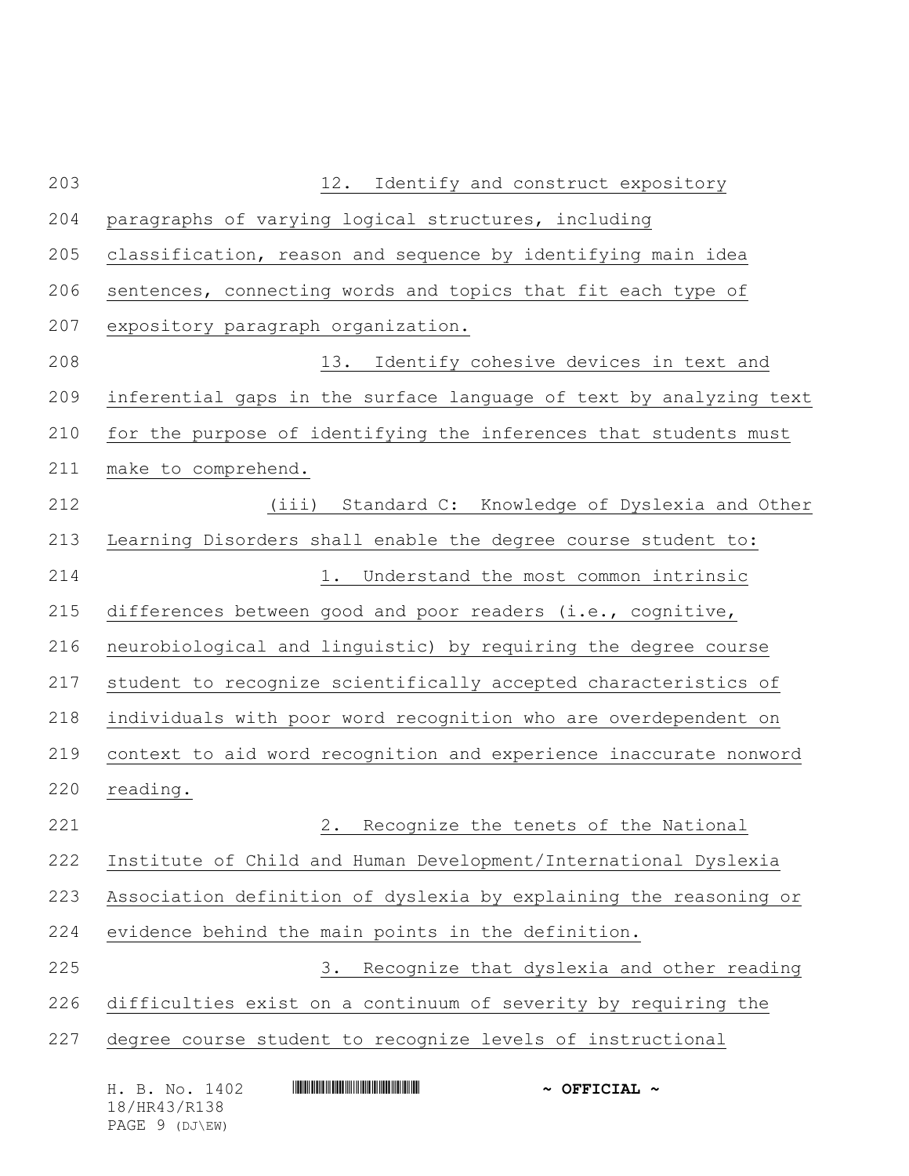| 203 | 12.<br>Identify and construct expository                           |  |  |
|-----|--------------------------------------------------------------------|--|--|
| 204 | paragraphs of varying logical structures, including                |  |  |
| 205 | classification, reason and sequence by identifying main idea       |  |  |
| 206 | sentences, connecting words and topics that fit each type of       |  |  |
| 207 | expository paragraph organization.                                 |  |  |
| 208 | 13.<br>Identify cohesive devices in text and                       |  |  |
| 209 | inferential gaps in the surface language of text by analyzing text |  |  |
| 210 | for the purpose of identifying the inferences that students must   |  |  |
| 211 | make to comprehend.                                                |  |  |
| 212 | (iii)<br>Standard C: Knowledge of Dyslexia and Other               |  |  |
| 213 | Learning Disorders shall enable the degree course student to:      |  |  |
| 214 | 1. Understand the most common intrinsic                            |  |  |
| 215 | differences between good and poor readers (i.e., cognitive,        |  |  |
| 216 | neurobiological and linguistic) by requiring the degree course     |  |  |
| 217 | student to recognize scientifically accepted characteristics of    |  |  |
| 218 | individuals with poor word recognition who are overdependent on    |  |  |
| 219 | context to aid word recognition and experience inaccurate nonword  |  |  |
| 220 | reading.                                                           |  |  |
| 221 | 2.<br>Recognize the tenets of the National                         |  |  |
| 222 | Institute of Child and Human Development/International Dyslexia    |  |  |
| 223 | Association definition of dyslexia by explaining the reasoning or  |  |  |
| 224 | evidence behind the main points in the definition.                 |  |  |
| 225 | Recognize that dyslexia and other reading<br>3.                    |  |  |
| 226 | difficulties exist on a continuum of severity by requiring the     |  |  |
| 227 | degree course student to recognize levels of instructional         |  |  |
|     | H. B. No. 1402<br>$\sim$ OFFICIAL $\sim$<br>18/HR43/R138           |  |  |

PAGE 9 (DJ\EW)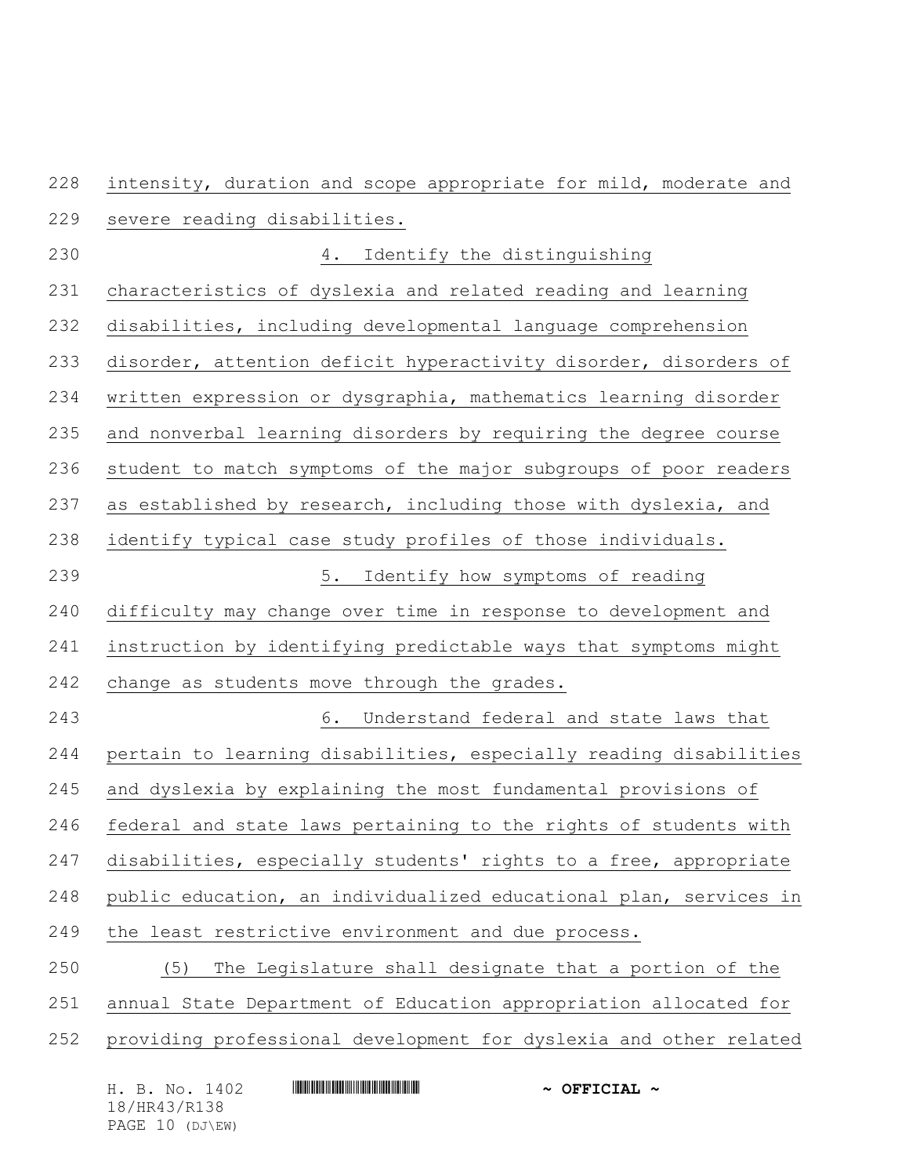intensity, duration and scope appropriate for mild, moderate and

- severe reading disabilities.
- 4. Identify the distinguishing characteristics of dyslexia and related reading and learning disabilities, including developmental language comprehension disorder, attention deficit hyperactivity disorder, disorders of written expression or dysgraphia, mathematics learning disorder and nonverbal learning disorders by requiring the degree course student to match symptoms of the major subgroups of poor readers as established by research, including those with dyslexia, and identify typical case study profiles of those individuals. 5. Identify how symptoms of reading difficulty may change over time in response to development and instruction by identifying predictable ways that symptoms might change as students move through the grades. 6. Understand federal and state laws that pertain to learning disabilities, especially reading disabilities and dyslexia by explaining the most fundamental provisions of federal and state laws pertaining to the rights of students with disabilities, especially students' rights to a free, appropriate public education, an individualized educational plan, services in the least restrictive environment and due process. (5) The Legislature shall designate that a portion of the annual State Department of Education appropriation allocated for providing professional development for dyslexia and other related

| H. B. No. 1402  | $\sim$ OFFICIAL $\sim$ |
|-----------------|------------------------|
| 18/HR43/R138    |                        |
| PAGE 10 (DJ\EW) |                        |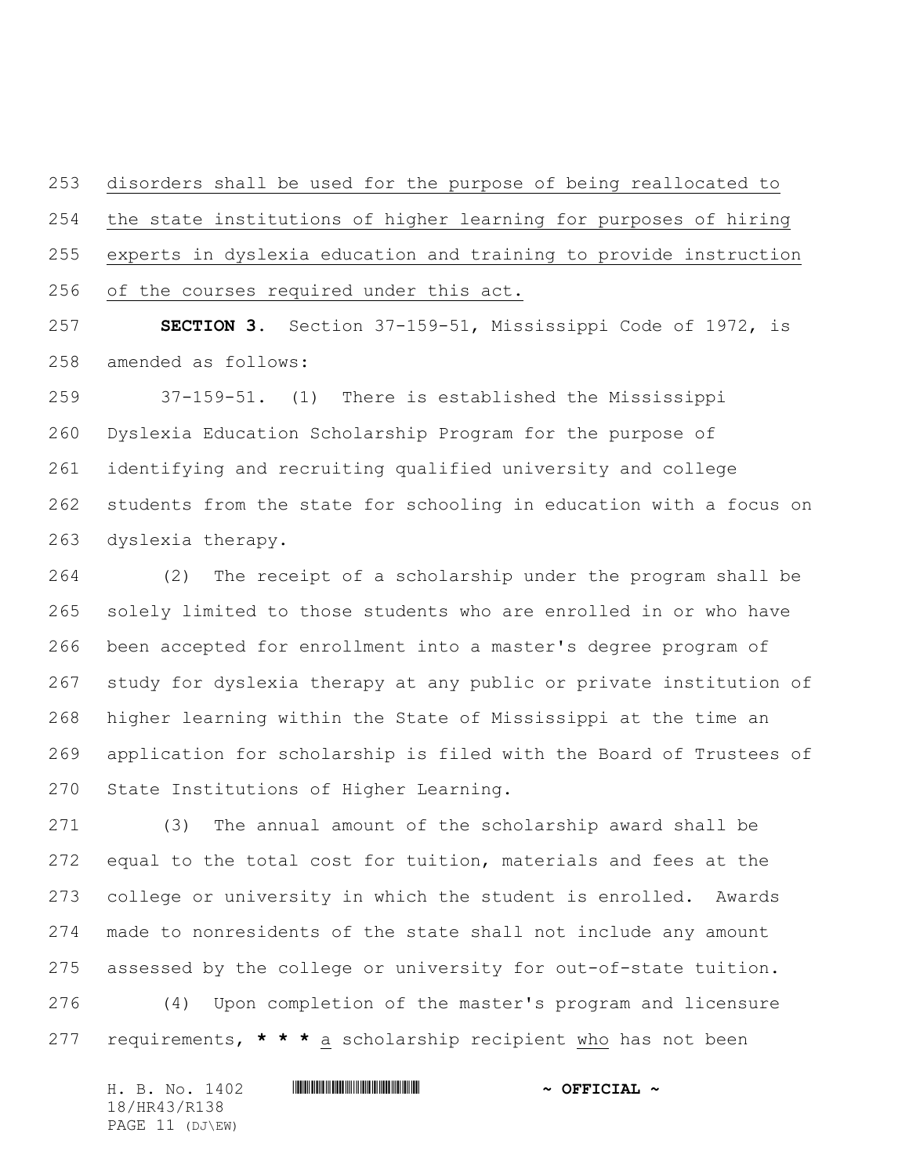disorders shall be used for the purpose of being reallocated to the state institutions of higher learning for purposes of hiring experts in dyslexia education and training to provide instruction of the courses required under this act.

 **SECTION 3.** Section 37-159-51, Mississippi Code of 1972, is amended as follows:

 37-159-51.(1) There is established the Mississippi Dyslexia Education Scholarship Program for the purpose of identifying and recruiting qualified university and college students from the state for schooling in education with a focus on dyslexia therapy.

 (2) The receipt of a scholarship under the program shall be solely limited to those students who are enrolled in or who have been accepted for enrollment into a master's degree program of study for dyslexia therapy at any public or private institution of higher learning within the State of Mississippi at the time an application for scholarship is filed with the Board of Trustees of State Institutions of Higher Learning.

 (3) The annual amount of the scholarship award shall be equal to the total cost for tuition, materials and fees at the college or university in which the student is enrolled. Awards made to nonresidents of the state shall not include any amount assessed by the college or university for out-of-state tuition.

 (4) Upon completion of the master's program and licensure requirements, **\* \* \*** a scholarship recipient who has not been

H. B. No. 1402 \*HR43/R138\* **~ OFFICIAL ~** 18/HR43/R138 PAGE 11 (DJ\EW)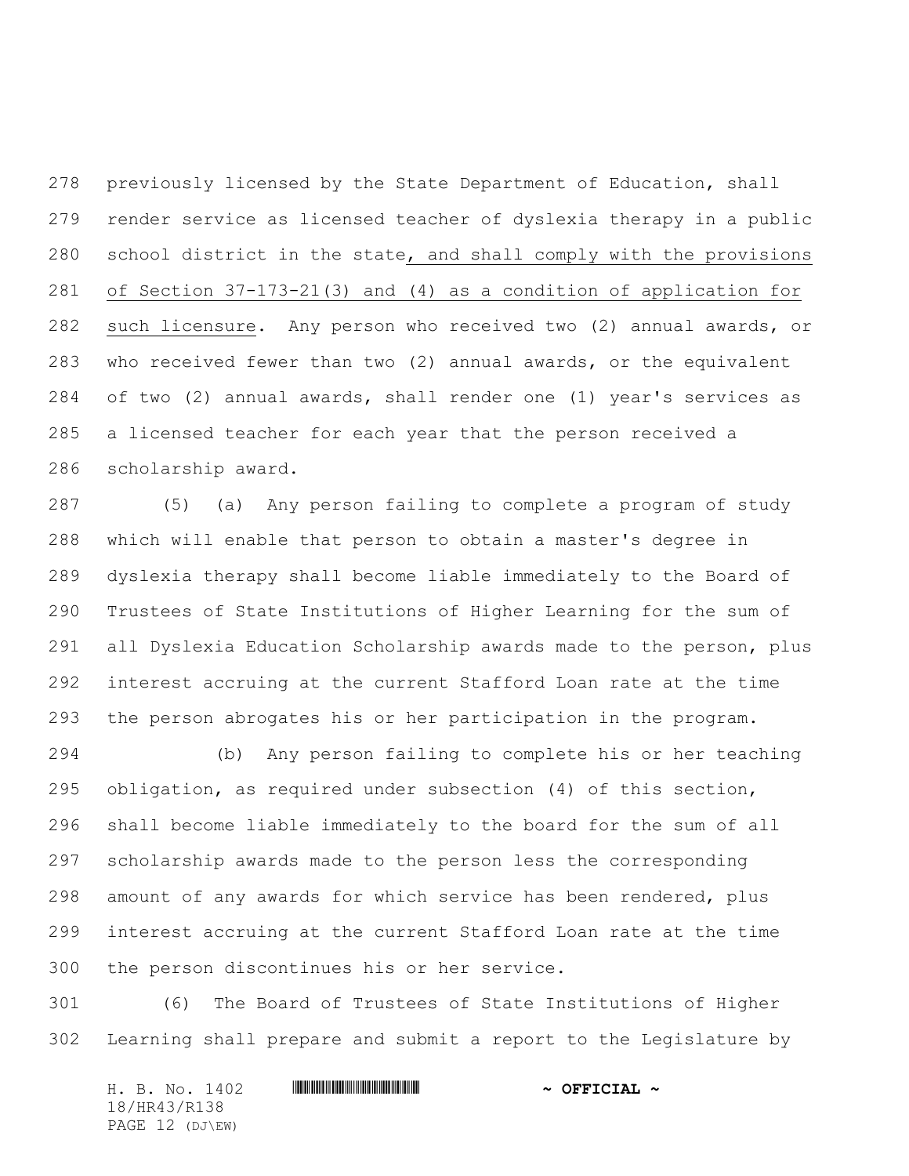previously licensed by the State Department of Education, shall render service as licensed teacher of dyslexia therapy in a public school district in the state, and shall comply with the provisions of Section 37-173-21(3) and (4) as a condition of application for such licensure. Any person who received two (2) annual awards, or who received fewer than two (2) annual awards, or the equivalent of two (2) annual awards, shall render one (1) year's services as a licensed teacher for each year that the person received a scholarship award.

 (5) (a) Any person failing to complete a program of study which will enable that person to obtain a master's degree in dyslexia therapy shall become liable immediately to the Board of Trustees of State Institutions of Higher Learning for the sum of all Dyslexia Education Scholarship awards made to the person, plus interest accruing at the current Stafford Loan rate at the time the person abrogates his or her participation in the program.

 (b) Any person failing to complete his or her teaching obligation, as required under subsection (4) of this section, shall become liable immediately to the board for the sum of all scholarship awards made to the person less the corresponding amount of any awards for which service has been rendered, plus interest accruing at the current Stafford Loan rate at the time the person discontinues his or her service.

 (6) The Board of Trustees of State Institutions of Higher Learning shall prepare and submit a report to the Legislature by

H. B. No. 1402 \*HR43/R138\* **~ OFFICIAL ~** 18/HR43/R138 PAGE 12 (DJ\EW)